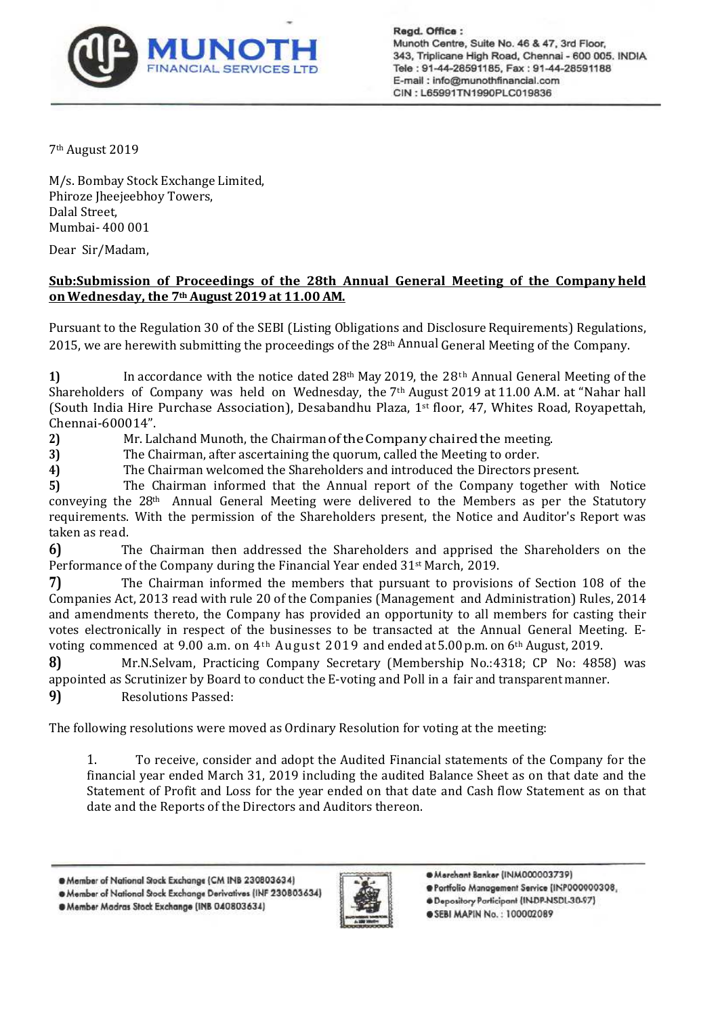

Read, Office: Munoth Centre, Suite No. 46 & 47, 3rd Floor, 343, Triplicane High Road, Chennai - 600 005. INDIA Tele: 91-44-28591185, Fax: 91-44-28591188 E-mail: info@munothfinancial.com CIN: L65991TN1990PLC019836

7th August 2019

M/s. Bombay Stock Exchange Limited, Phiroze Jheejeebhoy Towers, Dalal Street, Mumbai- 400 001

Dear Sir/Madam,

## **Sub:Submission of Proceedings of the 28th Annual General Meeting of the Company held on Wednesday, the 7th August 2019 at 11.00 AM.**

Pursuant to the Regulation 30 of the SEBI (Listing Obligations and Disclosure Requirements) Regulations, 2015, we are herewith submitting the proceedings of the 28th Annual General Meeting of the Company.

**1)** In accordance with the notice dated 28<sup>th</sup> May 2019, the  $28$ <sup>th</sup> Annual General Meeting of the Shareholders of Company was held on Wednesday, the 7th August 2019 at 11.00 A.M. at "Nahar hall (South India Hire Purchase Association), Desabandhu Plaza, 1st floor, 47, Whites Road, Royapettah, Chennai-600014".

**2)** Mr. Lalchand Munoth, the Chairman of the Company chaired the meeting.

**3)** The Chairman, after ascertaining the quorum, called the Meeting to order.

**4)** The Chairman welcomed the Shareholders and introduced the Directors present.

**5)** The Chairman informed that the Annual report of the Company together with Notice conveying the  $28<sup>th</sup>$  Annual General Meeting were delivered to the Members as per the Statutory requirements. With the permission of the Shareholders present, the Notice and Auditor's Report was taken as read.

**6)** The Chairman then addressed the Shareholders and apprised the Shareholders on the Performance of the Company during the Financial Year ended 31st March, 2019.

**7)** The Chairman informed the members that pursuant to provisions of Section 108 of the Companies Act, 2013 read with rule 20 of the Companies (Management and Administration) Rules, 2014 and amendments thereto, the Company has provided an opportunity to all members for casting their votes electronically in respect of the businesses to be transacted at the Annual General Meeting. Evoting commenced at 9.00 a.m. on 4<sup>th</sup> August 2019 and ended at 5.00 p.m. on 6<sup>th</sup> August, 2019.

**8)** Mr.N.Selvam, Practicing Company Secretary (Membership No.:4318; CP No: 4858) was appointed as Scrutinizer by Board to conduct the E-voting and Poll in a fair and transparent manner.

**9)** Resolutions Passed:

The following resolutions were moved as Ordinary Resolution for voting at the meeting:

1. To receive, consider and adopt the Audited Financial statements of the Company for the financial year ended March 31, 2019 including the audited Balance Sheet as on that date and the Statement of Profit and Loss for the year ended on that date and Cash flow Statement as on that date and the Reports of the Directors and Auditors thereon.

@ Member of National Stock Exchange (CM INB 230803634)

· Member of National Stock Exchange Derivatives (INF 230803634)





@ Merchant Banker (INM000003739)

@Portfolio Management Service [INP000000308,

. Depository Participant (INDP-NSDL-30-97)

**@SEBI MAPIN No.: 100002089**